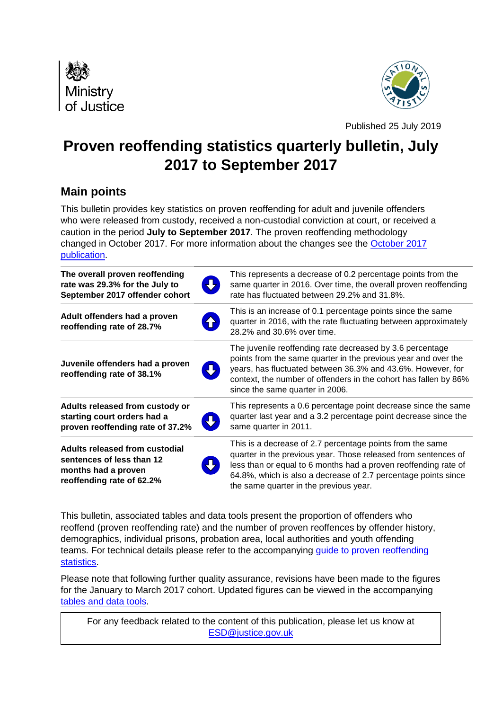



Published 25 July 2019

# **Proven reoffending statistics quarterly bulletin, July 2017 to September 2017**

# **Main points**

This bulletin provides key statistics on proven reoffending for adult and juvenile offenders who were released from custody, received a non-custodial conviction at court, or received a caution in the period **July to September 2017**. The proven reoffending methodology changed in October 2017. For more information about the changes see the [October 2017](https://www.gov.uk/government/uploads/system/uploads/attachment_data/file/658379/proven-reoffending-bulletin-oct15-dec15.pdf)  [publication.](https://www.gov.uk/government/uploads/system/uploads/attachment_data/file/658379/proven-reoffending-bulletin-oct15-dec15.pdf)

| The overall proven reoffending<br>rate was 29.3% for the July to<br>September 2017 offender cohort              | This represents a decrease of 0.2 percentage points from the<br>same quarter in 2016. Over time, the overall proven reoffending<br>rate has fluctuated between 29.2% and 31.8%.                                                                                                                            |
|-----------------------------------------------------------------------------------------------------------------|------------------------------------------------------------------------------------------------------------------------------------------------------------------------------------------------------------------------------------------------------------------------------------------------------------|
| Adult offenders had a proven<br>reoffending rate of 28.7%                                                       | This is an increase of 0.1 percentage points since the same<br>quarter in 2016, with the rate fluctuating between approximately<br>28.2% and 30.6% over time.                                                                                                                                              |
| Juvenile offenders had a proven<br>reoffending rate of 38.1%                                                    | The juvenile reoffending rate decreased by 3.6 percentage<br>points from the same quarter in the previous year and over the<br>years, has fluctuated between 36.3% and 43.6%. However, for<br>context, the number of offenders in the cohort has fallen by 86%<br>since the same quarter in 2006.          |
| Adults released from custody or<br>starting court orders had a<br>proven reoffending rate of 37.2%              | This represents a 0.6 percentage point decrease since the same<br>quarter last year and a 3.2 percentage point decrease since the<br>same quarter in 2011.                                                                                                                                                 |
| Adults released from custodial<br>sentences of less than 12<br>months had a proven<br>reoffending rate of 62.2% | This is a decrease of 2.7 percentage points from the same<br>quarter in the previous year. Those released from sentences of<br>less than or equal to 6 months had a proven reoffending rate of<br>64.8%, which is also a decrease of 2.7 percentage points since<br>the same quarter in the previous year. |

This bulletin, associated tables and data tools present the proportion of offenders who reoffend (proven reoffending rate) and the number of proven reoffences by offender history, demographics, individual prisons, probation area, local authorities and youth offending teams. For technical details please refer to the accompanying [guide to proven reoffending](https://www.gov.uk/government/statistics/proven-reoffending-statistics-april-2017-to-june-2017)  [statistics.](https://www.gov.uk/government/statistics/proven-reoffending-statistics-april-2017-to-june-2017)

Please note that following further quality assurance, revisions have been made to the figures for the January to March 2017 cohort. Updated figures can be viewed in the accompanying [tables and data tools.](https://www.gov.uk/government/statistics/proven-reoffending-statistics-april-2017-to-june-2017)

For any feedback related to the content of this publication, please let us know at [ESD@justice.gov.uk](mailto:ESD@justice.gov.uk)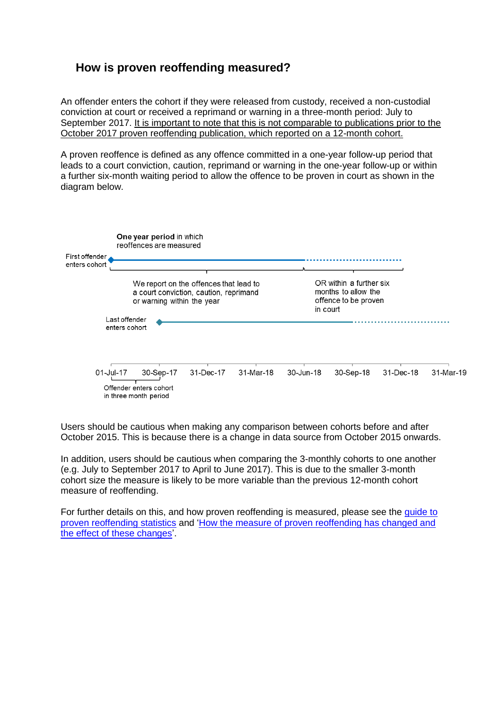### **How is proven reoffending measured?**

An offender enters the cohort if they were released from custody, received a non-custodial conviction at court or received a reprimand or warning in a three-month period: July to September 2017. It is important to note that this is not comparable to publications prior to the October 2017 proven reoffending publication, which reported on a 12-month cohort.

A proven reoffence is defined as any offence committed in a one-year follow-up period that leads to a court conviction, caution, reprimand or warning in the one-year follow-up or within a further six-month waiting period to allow the offence to be proven in court as shown in the diagram below.



Users should be cautious when making any comparison between cohorts before and after October 2015. This is because there is a change in data source from October 2015 onwards.

In addition, users should be cautious when comparing the 3-monthly cohorts to one another (e.g. July to September 2017 to April to June 2017). This is due to the smaller 3-month cohort size the measure is likely to be more variable than the previous 12-month cohort measure of reoffending.

For further details on this, and how proven reoffending is measured, please see the [gu](https://www.gov.uk/government/statistics/proven-reoffending-statistics-april-2017-to-june-2017)ide to proven reoffending statistics and ['How the measure of proven reoffending has changed and](https://www.gov.uk/government/statistics/proven-reoffending-statistics-october-2015-to-december-2015)  [the effect of these changes'](https://www.gov.uk/government/statistics/proven-reoffending-statistics-october-2015-to-december-2015).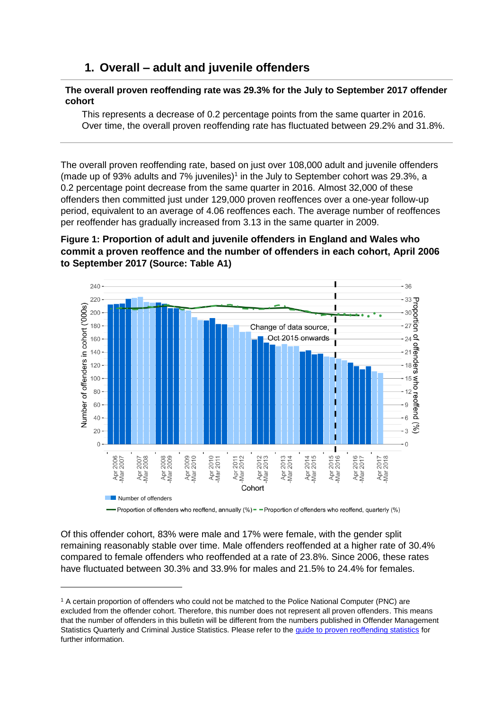### **1. Overall – adult and juvenile offenders**

#### **The overall proven reoffending rate was 29.3% for the July to September 2017 offender cohort**

This represents a decrease of 0.2 percentage points from the same quarter in 2016. Over time, the overall proven reoffending rate has fluctuated between 29.2% and 31.8%.

The overall proven reoffending rate, based on just over 108,000 adult and juvenile offenders (made up of 93% adults and  $7\%$  juveniles)<sup>1</sup> in the July to September cohort was 29.3%, a 0.2 percentage point decrease from the same quarter in 2016. Almost 32,000 of these offenders then committed just under 129,000 proven reoffences over a one-year follow-up period, equivalent to an average of 4.06 reoffences each. The average number of reoffences per reoffender has gradually increased from 3.13 in the same quarter in 2009.

### **Figure 1: Proportion of adult and juvenile offenders in England and Wales who commit a proven reoffence and the number of offenders in each cohort, April 2006 to September 2017 (Source: Table A1)**



-Proportion of offenders who reoffend, annually (%) = - Proportion of offenders who reoffend, quarterly (%)

Of this offender cohort, 83% were male and 17% were female, with the gender split remaining reasonably stable over time. Male offenders reoffended at a higher rate of 30.4% compared to female offenders who reoffended at a rate of 23.8%. Since 2006, these rates have fluctuated between 30.3% and 33.9% for males and 21.5% to 24.4% for females.

<sup>1</sup> A certain proportion of offenders who could not be matched to the Police National Computer (PNC) are excluded from the offender cohort. Therefore, this number does not represent all proven offenders. This means that the number of offenders in this bulletin will be different from the numbers published in Offender Management Statistics Quarterly and Criminal Justice Statistics. Please refer to the *quide to proven reoffending statistics* for further information.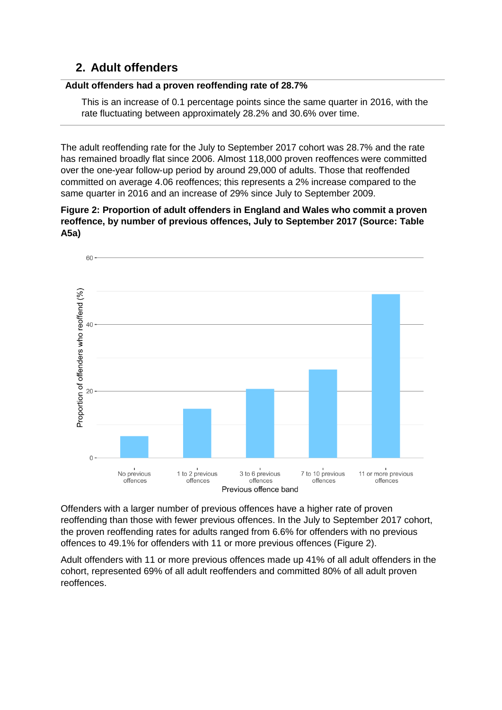# **2. Adult offenders**

### **Adult offenders had a proven reoffending rate of 28.7%**

This is an increase of 0.1 percentage points since the same quarter in 2016, with the rate fluctuating between approximately 28.2% and 30.6% over time.

The adult reoffending rate for the July to September 2017 cohort was 28.7% and the rate has remained broadly flat since 2006. Almost 118,000 proven reoffences were committed over the one-year follow-up period by around 29,000 of adults. Those that reoffended committed on average 4.06 reoffences; this represents a 2% increase compared to the same quarter in 2016 and an increase of 29% since July to September 2009.

**Figure 2: Proportion of adult offenders in England and Wales who commit a proven reoffence, by number of previous offences, July to September 2017 (Source: Table A5a)** 



Offenders with a larger number of previous offences have a higher rate of proven reoffending than those with fewer previous offences. In the July to September 2017 cohort, the proven reoffending rates for adults ranged from 6.6% for offenders with no previous offences to 49.1% for offenders with 11 or more previous offences (Figure 2).

Adult offenders with 11 or more previous offences made up 41% of all adult offenders in the cohort, represented 69% of all adult reoffenders and committed 80% of all adult proven reoffences.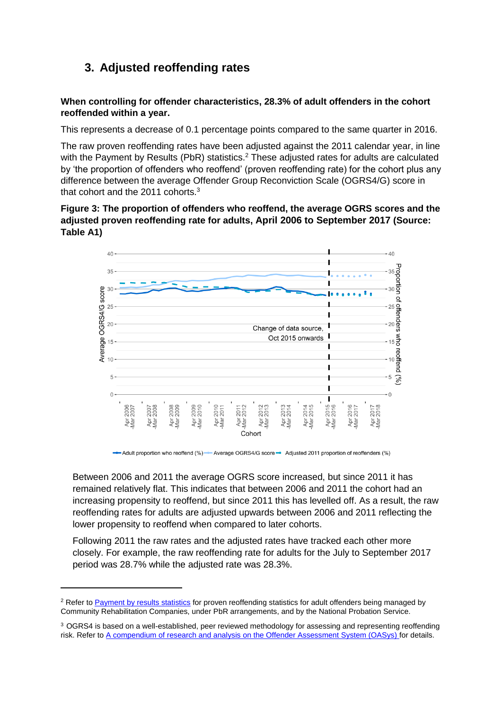# **3. Adjusted reoffending rates**

**When controlling for offender characteristics, 28.3% of adult offenders in the cohort reoffended within a year.** 

This represents a decrease of 0.1 percentage points compared to the same quarter in 2016.

The raw proven reoffending rates have been adjusted against the 2011 calendar year, in line with the Payment by Results (PbR) statistics.<sup>2</sup> These adjusted rates for adults are calculated by 'the proportion of offenders who reoffend' (proven reoffending rate) for the cohort plus any difference between the average Offender Group Reconviction Scale (OGRS4/G) score in that cohort and the 2011 cohorts.<sup>3</sup>

**Figure 3: The proportion of offenders who reoffend, the average OGRS scores and the adjusted proven reoffending rate for adults, April 2006 to September 2017 (Source: Table A1)** 



Average OGRS4/G score Adjusted 2011 proportion of reoffenders (%)

Between 2006 and 2011 the average OGRS score increased, but since 2011 it has remained relatively flat. This indicates that between 2006 and 2011 the cohort had an increasing propensity to reoffend, but since 2011 this has levelled off. As a result, the raw reoffending rates for adults are adjusted upwards between 2006 and 2011 reflecting the lower propensity to reoffend when compared to later cohorts.

Following 2011 the raw rates and the adjusted rates have tracked each other more closely. For example, the raw reoffending rate for adults for the July to September 2017 period was 28.7% while the adjusted rate was 28.3%.

<sup>&</sup>lt;sup>2</sup> Refer to [Payment by results statistics](https://www.gov.uk/government/collections/payment-by-results-statistics) for proven reoffending statistics for adult offenders being managed by Community Rehabilitation Companies, under PbR arrangements, and by the National Probation Service.

<sup>&</sup>lt;sup>3</sup> OGRS4 is based on a well-established, peer reviewed methodology for assessing and representing reoffending risk. Refer t[o A compendium of research and analysis on the Offender Assessment System \(OASys\) f](https://assets.publishing.service.gov.uk/government/uploads/system/uploads/attachment_data/file/449357/research-analysis-offender-assessment-system.pdf)or details.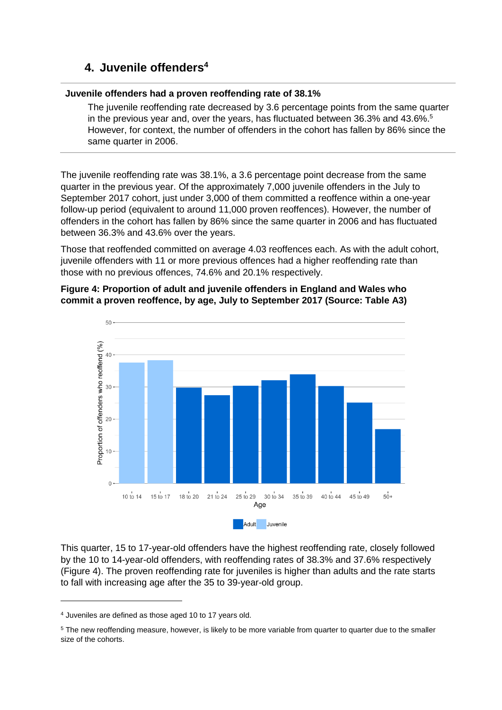### **4. Juvenile offenders<sup>4</sup>**

#### **Juvenile offenders had a proven reoffending rate of 38.1%**

The juvenile reoffending rate decreased by 3.6 percentage points from the same quarter in the previous year and, over the years, has fluctuated between 36.3% and 43.6%. 5 However, for context, the number of offenders in the cohort has fallen by 86% since the same quarter in 2006.

The juvenile reoffending rate was 38.1%, a 3.6 percentage point decrease from the same quarter in the previous year. Of the approximately 7,000 juvenile offenders in the July to September 2017 cohort, just under 3,000 of them committed a reoffence within a one-year follow-up period (equivalent to around 11,000 proven reoffences). However, the number of offenders in the cohort has fallen by 86% since the same quarter in 2006 and has fluctuated between 36.3% and 43.6% over the years.

Those that reoffended committed on average 4.03 reoffences each. As with the adult cohort, juvenile offenders with 11 or more previous offences had a higher reoffending rate than those with no previous offences, 74.6% and 20.1% respectively.

#### **Figure 4: Proportion of adult and juvenile offenders in England and Wales who commit a proven reoffence, by age, July to September 2017 (Source: Table A3)**



This quarter, 15 to 17-year-old offenders have the highest reoffending rate, closely followed by the 10 to 14-year-old offenders, with reoffending rates of 38.3% and 37.6% respectively (Figure 4). The proven reoffending rate for juveniles is higher than adults and the rate starts to fall with increasing age after the 35 to 39-year-old group.

<sup>4</sup> Juveniles are defined as those aged 10 to 17 years old.

<sup>&</sup>lt;sup>5</sup> The new reoffending measure, however, is likely to be more variable from quarter to quarter due to the smaller size of the cohorts.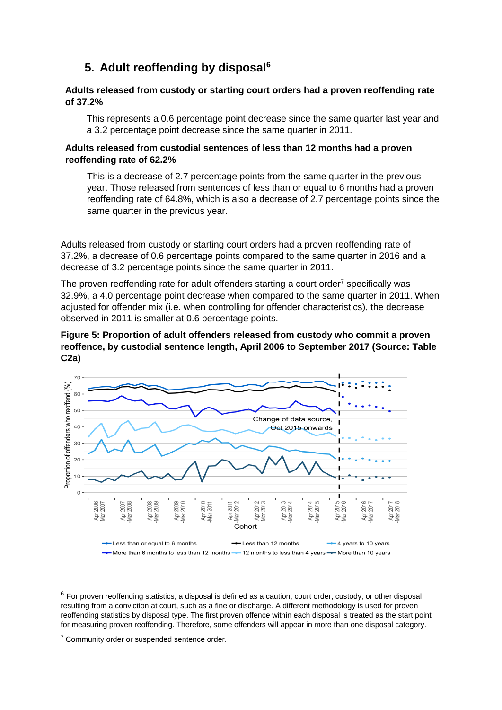# **5. Adult reoffending by disposal<sup>6</sup>**

#### **Adults released from custody or starting court orders had a proven reoffending rate of 37.2%**

This represents a 0.6 percentage point decrease since the same quarter last year and a 3.2 percentage point decrease since the same quarter in 2011.

#### **Adults released from custodial sentences of less than 12 months had a proven reoffending rate of 62.2%**

This is a decrease of 2.7 percentage points from the same quarter in the previous year. Those released from sentences of less than or equal to 6 months had a proven reoffending rate of 64.8%, which is also a decrease of 2.7 percentage points since the same quarter in the previous year.

Adults released from custody or starting court orders had a proven reoffending rate of 37.2%, a decrease of 0.6 percentage points compared to the same quarter in 2016 and a decrease of 3.2 percentage points since the same quarter in 2011.

The proven reoffending rate for adult offenders starting a court order<sup>7</sup> specifically was 32.9%, a 4.0 percentage point decrease when compared to the same quarter in 2011. When adjusted for offender mix (i.e. when controlling for offender characteristics), the decrease observed in 2011 is smaller at 0.6 percentage points.





 $6$  For proven reoffending statistics, a disposal is defined as a caution, court order, custody, or other disposal resulting from a conviction at court, such as a fine or discharge. A different methodology is used for proven reoffending statistics by disposal type. The first proven offence within each disposal is treated as the start point for measuring proven reoffending. Therefore, some offenders will appear in more than one disposal category.

<sup>&</sup>lt;sup>7</sup> Community order or suspended sentence order.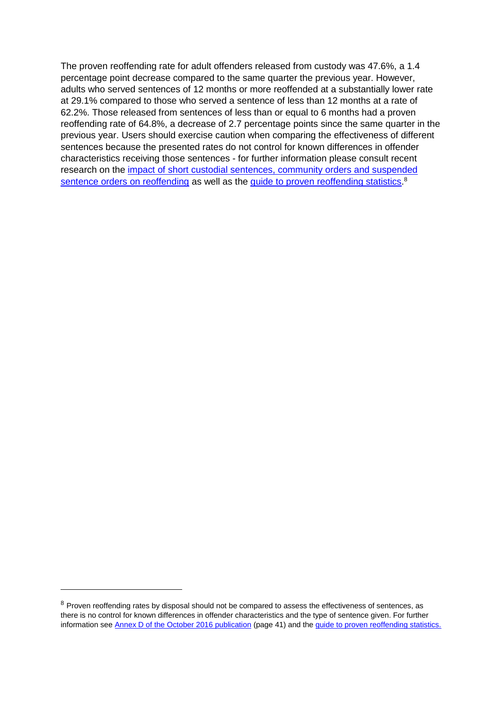The proven reoffending rate for adult offenders released from custody was 47.6%, a 1.4 percentage point decrease compared to the same quarter the previous year. However, adults who served sentences of 12 months or more reoffended at a substantially lower rate at 29.1% compared to those who served a sentence of less than 12 months at a rate of 62.2%. Those released from sentences of less than or equal to 6 months had a proven reoffending rate of 64.8%, a decrease of 2.7 percentage points since the same quarter in the previous year. Users should exercise caution when comparing the effectiveness of different sentences because the presented rates do not control for known differences in offender characteristics receiving those sentences - for further information please consult recent research on the [impact of short custodial sentences, community orders and suspended](https://www.gov.uk/government/publications/impact-of-short-custodial-sentences-community-orders-and-suspended-sentence-orders-on-reoffending)  [sentence orders on reoffending](https://www.gov.uk/government/publications/impact-of-short-custodial-sentences-community-orders-and-suspended-sentence-orders-on-reoffending) as well as the [guide to proven reoffending statistics.](https://www.gov.uk/government/statistics/proven-reoffending-statistics-april-2017-to-june-2017)<sup>8</sup>

 $8$  Proven reoffending rates by disposal should not be compared to assess the effectiveness of sentences, as there is no control for known differences in offender characteristics and the type of sentence given. For further information see [Annex D of the October 2016 publication](https://www.gov.uk/government/uploads/system/uploads/attachment_data/file/563185/proven-reoffending-2014.pdf) (page 41) and the [guide to proven reoffending statistics.](https://www.gov.uk/government/statistics/proven-reoffending-statistics-april-2017-to-june-2017)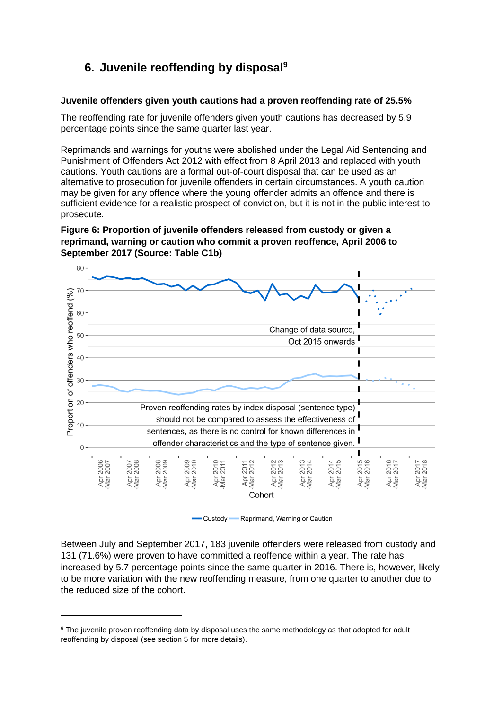# **6. Juvenile reoffending by disposal<sup>9</sup>**

#### **Juvenile offenders given youth cautions had a proven reoffending rate of 25.5%**

The reoffending rate for juvenile offenders given youth cautions has decreased by 5.9 percentage points since the same quarter last year.

Reprimands and warnings for youths were abolished under the Legal Aid Sentencing and Punishment of Offenders Act 2012 with effect from 8 April 2013 and replaced with youth cautions. Youth cautions are a formal out-of-court disposal that can be used as an alternative to prosecution for juvenile offenders in certain circumstances. A youth caution may be given for any offence where the young offender admits an offence and there is sufficient evidence for a realistic prospect of conviction, but it is not in the public interest to prosecute.

#### **Figure 6: Proportion of juvenile offenders released from custody or given a reprimand, warning or caution who commit a proven reoffence, April 2006 to September 2017 (Source: Table C1b)**



Custody Reprimand, Warning or Caution

Between July and September 2017, 183 juvenile offenders were released from custody and 131 (71.6%) were proven to have committed a reoffence within a year. The rate has increased by 5.7 percentage points since the same quarter in 2016. There is, however, likely to be more variation with the new reoffending measure, from one quarter to another due to the reduced size of the cohort.

<sup>&</sup>lt;sup>9</sup> The juvenile proven reoffending data by disposal uses the same methodology as that adopted for adult reoffending by disposal (see section 5 for more details).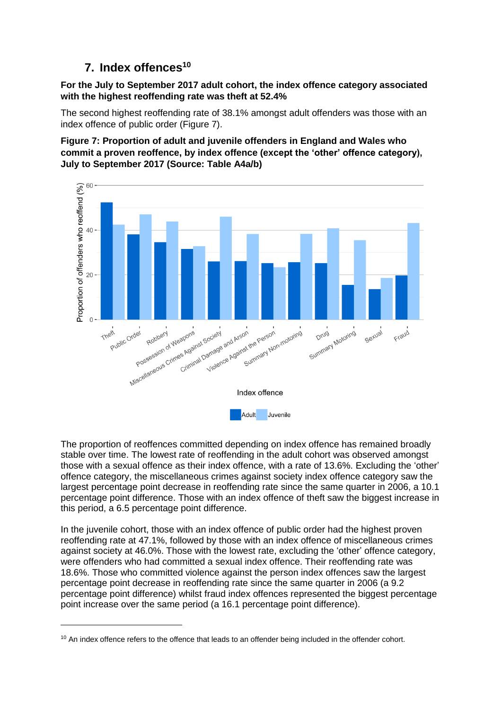# **7. Index offences<sup>10</sup>**

### **For the July to September 2017 adult cohort, the index offence category associated with the highest reoffending rate was theft at 52.4%**

The second highest reoffending rate of 38.1% amongst adult offenders was those with an index offence of public order (Figure 7).

**Figure 7: Proportion of adult and juvenile offenders in England and Wales who commit a proven reoffence, by index offence (except the 'other' offence category), July to September 2017 (Source: Table A4a/b)**



The proportion of reoffences committed depending on index offence has remained broadly stable over time. The lowest rate of reoffending in the adult cohort was observed amongst those with a sexual offence as their index offence, with a rate of 13.6%. Excluding the 'other' offence category, the miscellaneous crimes against society index offence category saw the largest percentage point decrease in reoffending rate since the same quarter in 2006, a 10.1 percentage point difference. Those with an index offence of theft saw the biggest increase in this period, a 6.5 percentage point difference.

In the juvenile cohort, those with an index offence of public order had the highest proven reoffending rate at 47.1%, followed by those with an index offence of miscellaneous crimes against society at 46.0%. Those with the lowest rate, excluding the 'other' offence category, were offenders who had committed a sexual index offence. Their reoffending rate was 18.6%. Those who committed violence against the person index offences saw the largest percentage point decrease in reoffending rate since the same quarter in 2006 (a 9.2 percentage point difference) whilst fraud index offences represented the biggest percentage point increase over the same period (a 16.1 percentage point difference).

 $10$  An index offence refers to the offence that leads to an offender being included in the offender cohort.